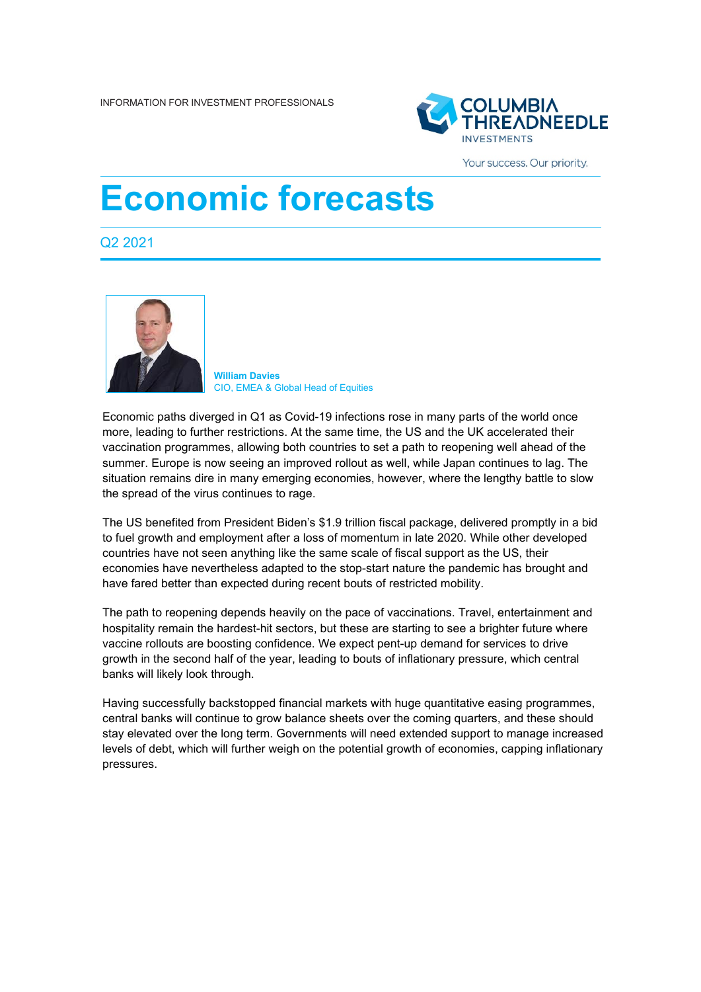

Your success. Our priority.

# **Economic forecasts**

Q2 2021



**William Davies** CIO, EMEA & Global Head of Equities

Economic paths diverged in Q1 as Covid-19 infections rose in many parts of the world once more, leading to further restrictions. At the same time, the US and the UK accelerated their vaccination programmes, allowing both countries to set a path to reopening well ahead of the summer. Europe is now seeing an improved rollout as well, while Japan continues to lag. The situation remains dire in many emerging economies, however, where the lengthy battle to slow the spread of the virus continues to rage.

The US benefited from President Biden's \$1.9 trillion fiscal package, delivered promptly in a bid to fuel growth and employment after a loss of momentum in late 2020. While other developed countries have not seen anything like the same scale of fiscal support as the US, their economies have nevertheless adapted to the stop-start nature the pandemic has brought and have fared better than expected during recent bouts of restricted mobility.

The path to reopening depends heavily on the pace of vaccinations. Travel, entertainment and hospitality remain the hardest-hit sectors, but these are starting to see a brighter future where vaccine rollouts are boosting confidence. We expect pent-up demand for services to drive growth in the second half of the year, leading to bouts of inflationary pressure, which central banks will likely look through.

Having successfully backstopped financial markets with huge quantitative easing programmes, central banks will continue to grow balance sheets over the coming quarters, and these should stay elevated over the long term. Governments will need extended support to manage increased levels of debt, which will further weigh on the potential growth of economies, capping inflationary pressures.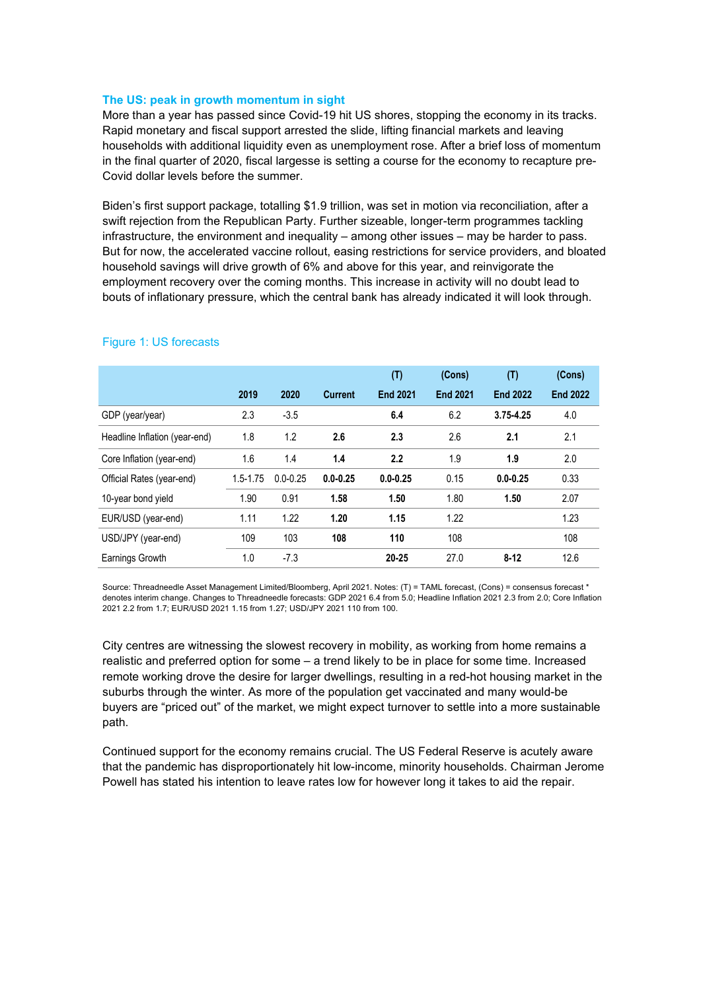# **The US: peak in growth momentum in sight**

More than a year has passed since Covid-19 hit US shores, stopping the economy in its tracks. Rapid monetary and fiscal support arrested the slide, lifting financial markets and leaving households with additional liquidity even as unemployment rose. After a brief loss of momentum in the final quarter of 2020, fiscal largesse is setting a course for the economy to recapture pre-Covid dollar levels before the summer.

Biden's first support package, totalling \$1.9 trillion, was set in motion via reconciliation, after a swift rejection from the Republican Party. Further sizeable, longer-term programmes tackling infrastructure, the environment and inequality – among other issues – may be harder to pass. But for now, the accelerated vaccine rollout, easing restrictions for service providers, and bloated household savings will drive growth of 6% and above for this year, and reinvigorate the employment recovery over the coming months. This increase in activity will no doubt lead to bouts of inflationary pressure, which the central bank has already indicated it will look through.

|                               |              |              |                | (T)             | (Cons)          | (T)             | (Cons)          |
|-------------------------------|--------------|--------------|----------------|-----------------|-----------------|-----------------|-----------------|
|                               | 2019         | 2020         | <b>Current</b> | <b>End 2021</b> | <b>End 2021</b> | <b>End 2022</b> | <b>End 2022</b> |
| GDP (year/year)               | 2.3          | $-3.5$       |                | 6.4             | 6.2             | $3.75 - 4.25$   | 4.0             |
| Headline Inflation (year-end) | 1.8          | 1.2          | 2.6            | 2.3             | 2.6             | 2.1             | 2.1             |
| Core Inflation (year-end)     | 1.6          | 1.4          | 1.4            | 2.2             | 1.9             | 1.9             | 2.0             |
| Official Rates (year-end)     | $1.5 - 1.75$ | $0.0 - 0.25$ | $0.0 - 0.25$   | $0.0 - 0.25$    | 0.15            | $0.0 - 0.25$    | 0.33            |
| 10-year bond yield            | 1.90         | 0.91         | 1.58           | 1.50            | 1.80            | 1.50            | 2.07            |
| EUR/USD (year-end)            | 1.11         | 1.22         | 1.20           | 1.15            | 1.22            |                 | 1.23            |
| USD/JPY (year-end)            | 109          | 103          | 108            | 110             | 108             |                 | 108             |
| Earnings Growth               | 1.0          | $-7.3$       |                | $20 - 25$       | 27.0            | $8 - 12$        | 12.6            |

# Figure 1: US forecasts

Source: Threadneedle Asset Management Limited/Bloomberg, April 2021. Notes: (T) = TAML forecast, (Cons) = consensus forecast \* denotes interim change. Changes to Threadneedle forecasts: GDP 2021 6.4 from 5.0; Headline Inflation 2021 2.3 from 2.0; Core Inflation 2021 2.2 from 1.7; EUR/USD 2021 1.15 from 1.27; USD/JPY 2021 110 from 100.

City centres are witnessing the slowest recovery in mobility, as working from home remains a realistic and preferred option for some – a trend likely to be in place for some time. Increased remote working drove the desire for larger dwellings, resulting in a red-hot housing market in the suburbs through the winter. As more of the population get vaccinated and many would-be buyers are "priced out" of the market, we might expect turnover to settle into a more sustainable path.

Continued support for the economy remains crucial. The US Federal Reserve is acutely aware that the pandemic has disproportionately hit low-income, minority households. Chairman Jerome Powell has stated his intention to leave rates low for however long it takes to aid the repair.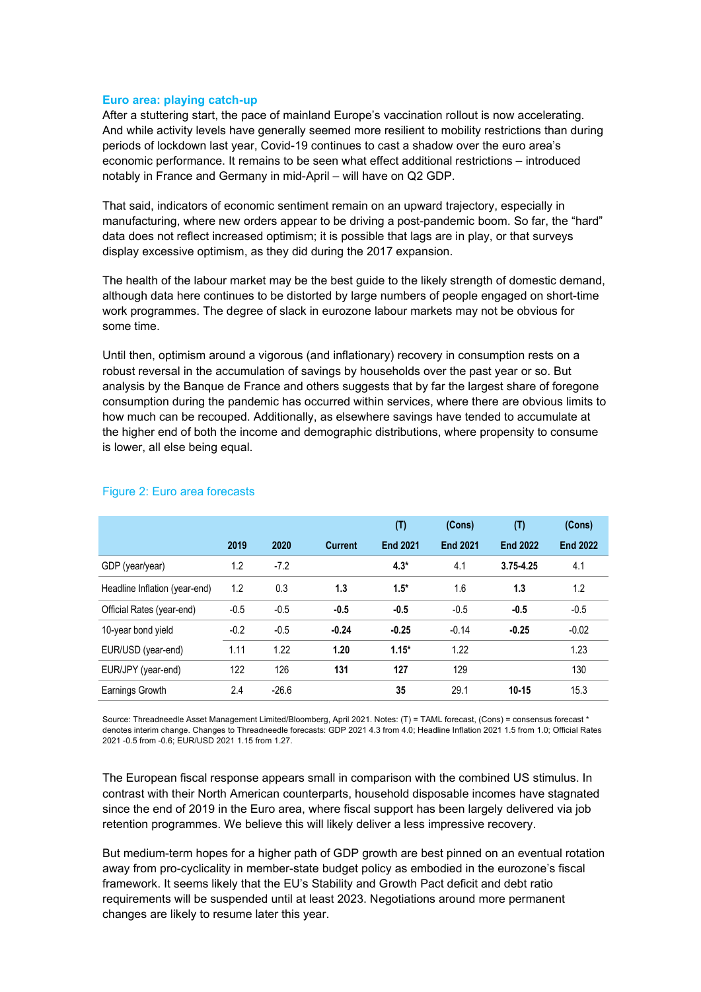#### **Euro area: playing catch-up**

After a stuttering start, the pace of mainland Europe's vaccination rollout is now accelerating. And while activity levels have generally seemed more resilient to mobility restrictions than during periods of lockdown last year, Covid-19 continues to cast a shadow over the euro area's economic performance. It remains to be seen what effect additional restrictions – introduced notably in France and Germany in mid-April – will have on Q2 GDP.

That said, indicators of economic sentiment remain on an upward trajectory, especially in manufacturing, where new orders appear to be driving a post-pandemic boom. So far, the "hard" data does not reflect increased optimism; it is possible that lags are in play, or that surveys display excessive optimism, as they did during the 2017 expansion.

The health of the labour market may be the best guide to the likely strength of domestic demand, although data here continues to be distorted by large numbers of people engaged on short-time work programmes. The degree of slack in eurozone labour markets may not be obvious for some time.

Until then, optimism around a vigorous (and inflationary) recovery in consumption rests on a robust reversal in the accumulation of savings by households over the past year or so. But analysis by the Banque de France and others suggests that by far the largest share of foregone consumption during the pandemic has occurred within services, where there are obvious limits to how much can be recouped. Additionally, as elsewhere savings have tended to accumulate at the higher end of both the income and demographic distributions, where propensity to consume is lower, all else being equal.

|                               |        |         |                | (T)             | (Cons)          | (T)             | (Cons)          |
|-------------------------------|--------|---------|----------------|-----------------|-----------------|-----------------|-----------------|
|                               | 2019   | 2020    | <b>Current</b> | <b>End 2021</b> | <b>End 2021</b> | <b>End 2022</b> | <b>End 2022</b> |
| GDP (year/year)               | 1.2    | $-7.2$  |                | $4.3*$          | 4.1             | $3.75 - 4.25$   | 4.1             |
| Headline Inflation (year-end) | 1.2    | 0.3     | 1.3            | $1.5*$          | 1.6             | 1.3             | 1.2             |
| Official Rates (year-end)     | $-0.5$ | $-0.5$  | $-0.5$         | $-0.5$          | $-0.5$          | $-0.5$          | $-0.5$          |
| 10-year bond yield            | $-0.2$ | $-0.5$  | $-0.24$        | $-0.25$         | $-0.14$         | $-0.25$         | $-0.02$         |
| EUR/USD (year-end)            | 1.11   | 1.22    | 1.20           | $1.15*$         | 1.22            |                 | 1.23            |
| EUR/JPY (year-end)            | 122    | 126     | 131            | 127             | 129             |                 | 130             |
| Earnings Growth               | 2.4    | $-26.6$ |                | 35              | 29.1            | $10 - 15$       | 15.3            |

# Figure 2: Euro area forecasts

Source: Threadneedle Asset Management Limited/Bloomberg, April 2021. Notes: (T) = TAML forecast, (Cons) = consensus forecast \* denotes interim change. Changes to Threadneedle forecasts: GDP 2021 4.3 from 4.0; Headline Inflation 2021 1.5 from 1.0; Official Rates 2021 -0.5 from -0.6; EUR/USD 2021 1.15 from 1.27.

The European fiscal response appears small in comparison with the combined US stimulus. In contrast with their North American counterparts, household disposable incomes have stagnated since the end of 2019 in the Euro area, where fiscal support has been largely delivered via job retention programmes. We believe this will likely deliver a less impressive recovery.

But medium-term hopes for a higher path of GDP growth are best pinned on an eventual rotation away from pro-cyclicality in member-state budget policy as embodied in the eurozone's fiscal framework. It seems likely that the EU's Stability and Growth Pact deficit and debt ratio requirements will be suspended until at least 2023. Negotiations around more permanent changes are likely to resume later this year.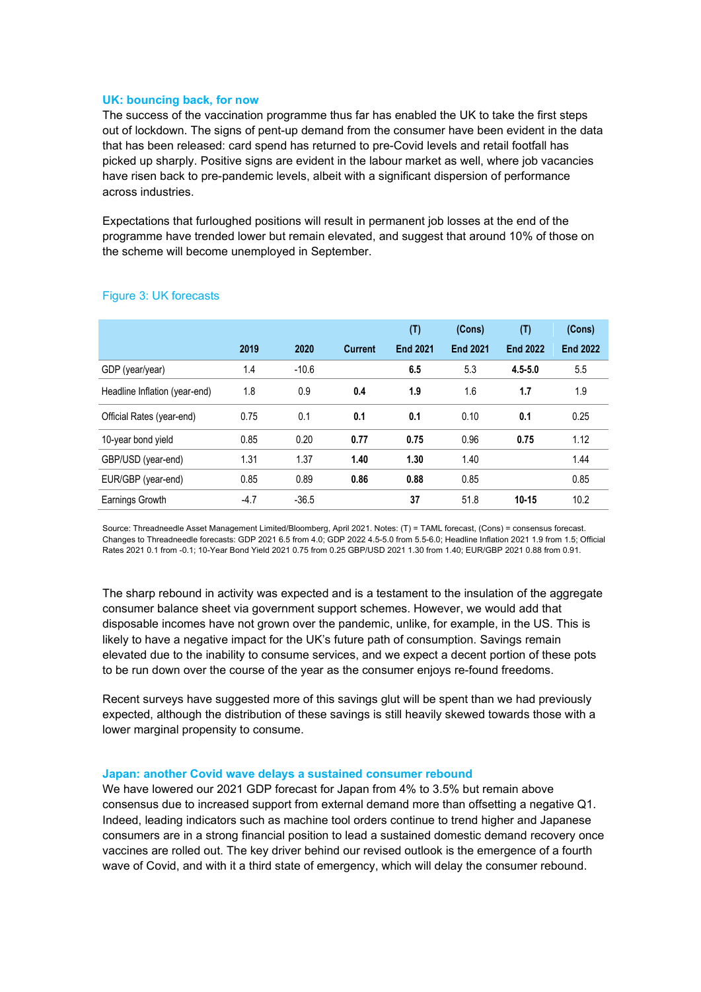# **UK: bouncing back, for now**

The success of the vaccination programme thus far has enabled the UK to take the first steps out of lockdown. The signs of pent-up demand from the consumer have been evident in the data that has been released: card spend has returned to pre-Covid levels and retail footfall has picked up sharply. Positive signs are evident in the labour market as well, where job vacancies have risen back to pre-pandemic levels, albeit with a significant dispersion of performance across industries.

Expectations that furloughed positions will result in permanent job losses at the end of the programme have trended lower but remain elevated, and suggest that around 10% of those on the scheme will become unemployed in September.

|                               |        |         |                | (T)             | (Cons)          | (T)             | (Cons)          |
|-------------------------------|--------|---------|----------------|-----------------|-----------------|-----------------|-----------------|
|                               | 2019   | 2020    | <b>Current</b> | <b>End 2021</b> | <b>End 2021</b> | <b>End 2022</b> | <b>End 2022</b> |
| GDP (year/year)               | 1.4    | $-10.6$ |                | 6.5             | 5.3             | $4.5 - 5.0$     | 5.5             |
| Headline Inflation (year-end) | 1.8    | 0.9     | 0.4            | 1.9             | 1.6             | 1.7             | 1.9             |
| Official Rates (year-end)     | 0.75   | 0.1     | 0.1            | 0.1             | 0.10            | 0.1             | 0.25            |
| 10-year bond yield            | 0.85   | 0.20    | 0.77           | 0.75            | 0.96            | 0.75            | 1.12            |
| GBP/USD (year-end)            | 1.31   | 1.37    | 1.40           | 1.30            | 1.40            |                 | 1.44            |
| EUR/GBP (year-end)            | 0.85   | 0.89    | 0.86           | 0.88            | 0.85            |                 | 0.85            |
| Earnings Growth               | $-4.7$ | $-36.5$ |                | 37              | 51.8            | $10 - 15$       | 10.2            |

# Figure 3: UK forecasts

Source: Threadneedle Asset Management Limited/Bloomberg, April 2021. Notes: (T) = TAML forecast, (Cons) = consensus forecast. Changes to Threadneedle forecasts: GDP 2021 6.5 from 4.0; GDP 2022 4.5-5.0 from 5.5-6.0; Headline Inflation 2021 1.9 from 1.5; Official Rates 2021 0.1 from -0.1; 10-Year Bond Yield 2021 0.75 from 0.25 GBP/USD 2021 1.30 from 1.40; EUR/GBP 2021 0.88 from 0.91.

The sharp rebound in activity was expected and is a testament to the insulation of the aggregate consumer balance sheet via government support schemes. However, we would add that disposable incomes have not grown over the pandemic, unlike, for example, in the US. This is likely to have a negative impact for the UK's future path of consumption. Savings remain elevated due to the inability to consume services, and we expect a decent portion of these pots to be run down over the course of the year as the consumer enjoys re-found freedoms.

Recent surveys have suggested more of this savings glut will be spent than we had previously expected, although the distribution of these savings is still heavily skewed towards those with a lower marginal propensity to consume.

## **Japan: another Covid wave delays a sustained consumer rebound**

We have lowered our 2021 GDP forecast for Japan from 4% to 3.5% but remain above consensus due to increased support from external demand more than offsetting a negative Q1. Indeed, leading indicators such as machine tool orders continue to trend higher and Japanese consumers are in a strong financial position to lead a sustained domestic demand recovery once vaccines are rolled out. The key driver behind our revised outlook is the emergence of a fourth wave of Covid, and with it a third state of emergency, which will delay the consumer rebound.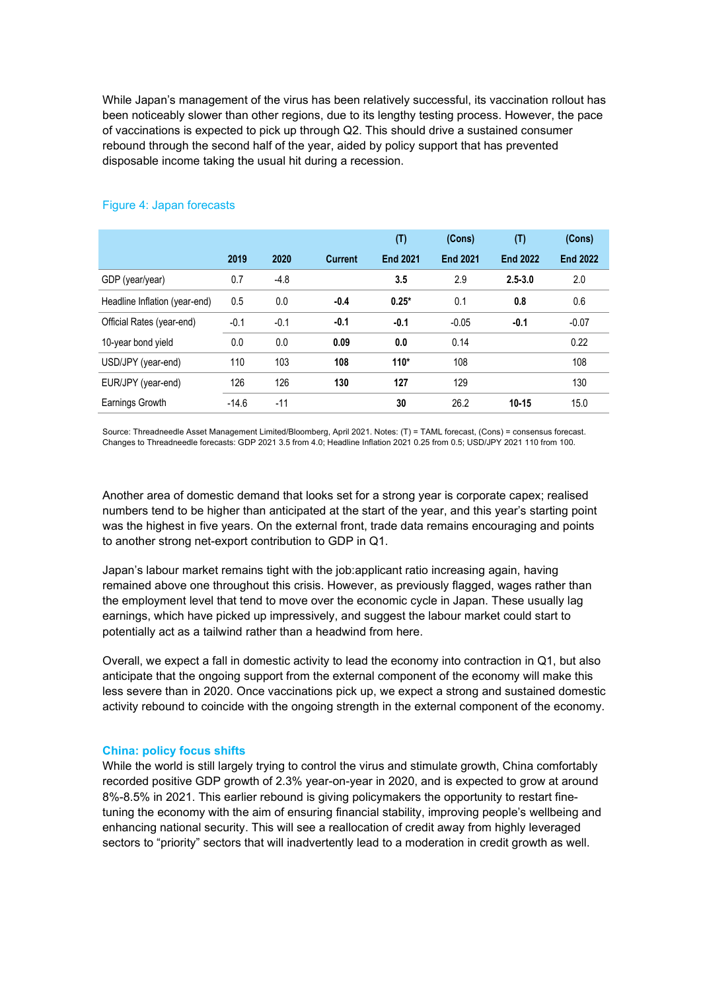While Japan's management of the virus has been relatively successful, its vaccination rollout has been noticeably slower than other regions, due to its lengthy testing process. However, the pace of vaccinations is expected to pick up through Q2. This should drive a sustained consumer rebound through the second half of the year, aided by policy support that has prevented disposable income taking the usual hit during a recession.

|                               |         |        |                | (T)             | (Cons)          | (T)             | (Cons)          |
|-------------------------------|---------|--------|----------------|-----------------|-----------------|-----------------|-----------------|
|                               | 2019    | 2020   | <b>Current</b> | <b>End 2021</b> | <b>End 2021</b> | <b>End 2022</b> | <b>End 2022</b> |
| GDP (year/year)               | 0.7     | $-4.8$ |                | 3.5             | 2.9             | $2.5 - 3.0$     | 2.0             |
| Headline Inflation (year-end) | 0.5     | 0.0    | $-0.4$         | $0.25*$         | 0.1             | 0.8             | 0.6             |
| Official Rates (year-end)     | $-0.1$  | $-0.1$ | $-0.1$         | $-0.1$          | $-0.05$         | $-0.1$          | $-0.07$         |
| 10-year bond yield            | 0.0     | 0.0    | 0.09           | 0.0             | 0.14            |                 | 0.22            |
| USD/JPY (year-end)            | 110     | 103    | 108            | $110*$          | 108             |                 | 108             |
| EUR/JPY (year-end)            | 126     | 126    | 130            | 127             | 129             |                 | 130             |
| Earnings Growth               | $-14.6$ | $-11$  |                | 30              | 26.2            | $10 - 15$       | 15.0            |

# Figure 4: Japan forecasts

Source: Threadneedle Asset Management Limited/Bloomberg, April 2021. Notes: (T) = TAML forecast, (Cons) = consensus forecast. Changes to Threadneedle forecasts: GDP 2021 3.5 from 4.0; Headline Inflation 2021 0.25 from 0.5; USD/JPY 2021 110 from 100.

Another area of domestic demand that looks set for a strong year is corporate capex; realised numbers tend to be higher than anticipated at the start of the year, and this year's starting point was the highest in five years. On the external front, trade data remains encouraging and points to another strong net-export contribution to GDP in Q1.

Japan's labour market remains tight with the job:applicant ratio increasing again, having remained above one throughout this crisis. However, as previously flagged, wages rather than the employment level that tend to move over the economic cycle in Japan. These usually lag earnings, which have picked up impressively, and suggest the labour market could start to potentially act as a tailwind rather than a headwind from here.

Overall, we expect a fall in domestic activity to lead the economy into contraction in Q1, but also anticipate that the ongoing support from the external component of the economy will make this less severe than in 2020. Once vaccinations pick up, we expect a strong and sustained domestic activity rebound to coincide with the ongoing strength in the external component of the economy.

# **China: policy focus shifts**

While the world is still largely trying to control the virus and stimulate growth, China comfortably recorded positive GDP growth of 2.3% year-on-year in 2020, and is expected to grow at around 8%-8.5% in 2021. This earlier rebound is giving policymakers the opportunity to restart finetuning the economy with the aim of ensuring financial stability, improving people's wellbeing and enhancing national security. This will see a reallocation of credit away from highly leveraged sectors to "priority" sectors that will inadvertently lead to a moderation in credit growth as well.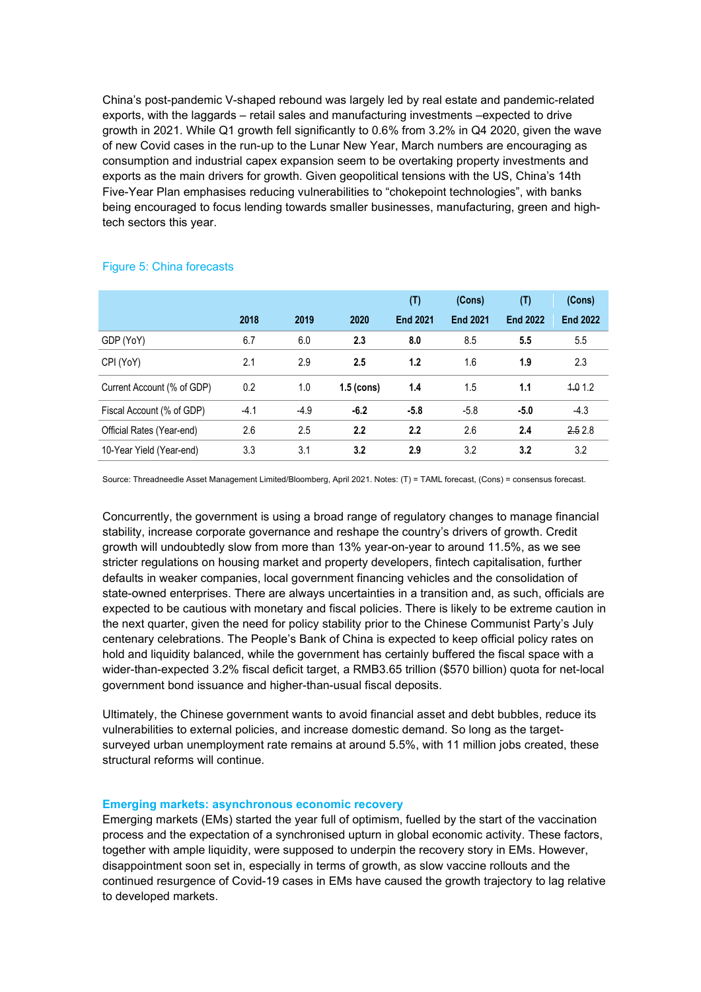China's post-pandemic V-shaped rebound was largely led by real estate and pandemic-related exports, with the laggards – retail sales and manufacturing investments –expected to drive growth in 2021. While Q1 growth fell significantly to 0.6% from 3.2% in Q4 2020, given the wave of new Covid cases in the run-up to the Lunar New Year, March numbers are encouraging as consumption and industrial capex expansion seem to be overtaking property investments and exports as the main drivers for growth. Given geopolitical tensions with the US, China's 14th Five-Year Plan emphasises reducing vulnerabilities to "chokepoint technologies", with banks being encouraged to focus lending towards smaller businesses, manufacturing, green and hightech sectors this year.

|                            |        |        |                  | (T)             | (Cons)          | (T)             | (Cons)          |
|----------------------------|--------|--------|------------------|-----------------|-----------------|-----------------|-----------------|
|                            | 2018   | 2019   | 2020             | <b>End 2021</b> | <b>End 2021</b> | <b>End 2022</b> | <b>End 2022</b> |
| GDP (YoY)                  | 6.7    | 6.0    | 2.3              | 8.0             | 8.5             | 5.5             | 5.5             |
| CPI (YoY)                  | 2.1    | 2.9    | 2.5              | 1.2             | 1.6             | 1.9             | 2.3             |
| Current Account (% of GDP) | 0.2    | 1.0    | $1.5$ (cons)     | 1.4             | 1.5             | 1.1             | 4.01.2          |
| Fiscal Account (% of GDP)  | $-4.1$ | $-4.9$ | $-6.2$           | $-5.8$          | $-5.8$          | $-5.0$          | $-4.3$          |
| Official Rates (Year-end)  | 2.6    | 2.5    | $2.2\phantom{0}$ | 2.2             | 2.6             | 2.4             | 2.52.8          |
| 10-Year Yield (Year-end)   | 3.3    | 3.1    | 3.2              | 2.9             | 3.2             | 3.2             | 3.2             |

## Figure 5: China forecasts

Source: Threadneedle Asset Management Limited/Bloomberg, April 2021. Notes: (T) = TAML forecast, (Cons) = consensus forecast.

Concurrently, the government is using a broad range of regulatory changes to manage financial stability, increase corporate governance and reshape the country's drivers of growth. Credit growth will undoubtedly slow from more than 13% year-on-year to around 11.5%, as we see stricter regulations on housing market and property developers, fintech capitalisation, further defaults in weaker companies, local government financing vehicles and the consolidation of state-owned enterprises. There are always uncertainties in a transition and, as such, officials are expected to be cautious with monetary and fiscal policies. There is likely to be extreme caution in the next quarter, given the need for policy stability prior to the Chinese Communist Party's July centenary celebrations. The People's Bank of China is expected to keep official policy rates on hold and liquidity balanced, while the government has certainly buffered the fiscal space with a wider-than-expected 3.2% fiscal deficit target, a RMB3.65 trillion (\$570 billion) quota for net-local government bond issuance and higher-than-usual fiscal deposits.

Ultimately, the Chinese government wants to avoid financial asset and debt bubbles, reduce its vulnerabilities to external policies, and increase domestic demand. So long as the targetsurveyed urban unemployment rate remains at around 5.5%, with 11 million jobs created, these structural reforms will continue.

## **Emerging markets: asynchronous economic recovery**

Emerging markets (EMs) started the year full of optimism, fuelled by the start of the vaccination process and the expectation of a synchronised upturn in global economic activity. These factors, together with ample liquidity, were supposed to underpin the recovery story in EMs. However, disappointment soon set in, especially in terms of growth, as slow vaccine rollouts and the continued resurgence of Covid-19 cases in EMs have caused the growth trajectory to lag relative to developed markets.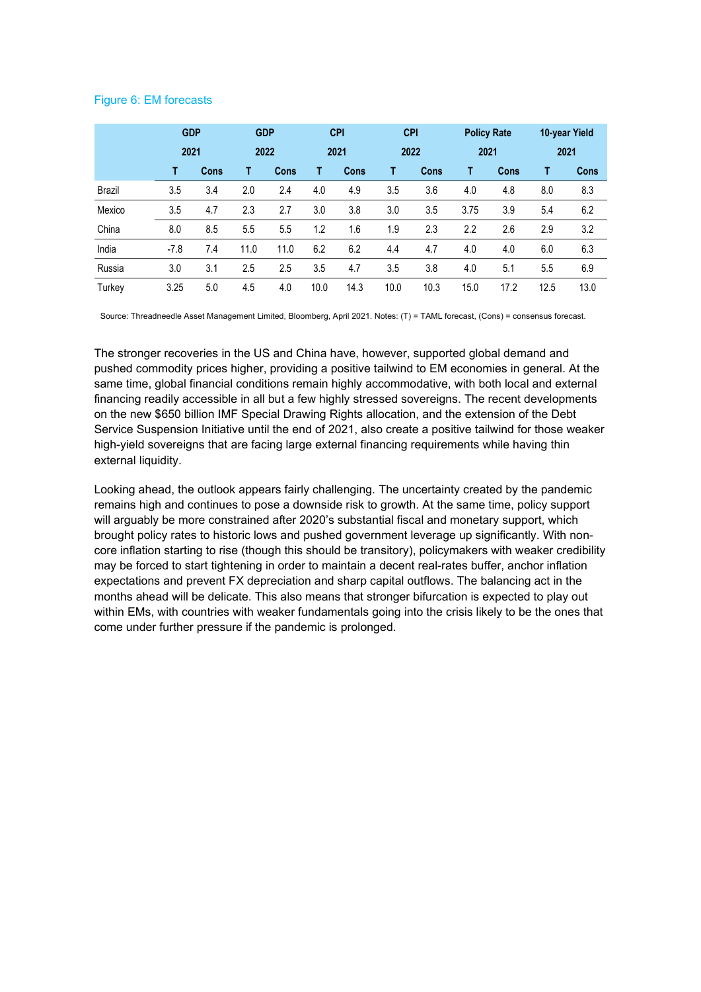# Figure 6: EM forecasts

|        | <b>GDP</b> |      | <b>GDP</b> |             |      | <b>CPI</b>  |      | <b>CPI</b>  |      | <b>Policy Rate</b> |      | 10-year Yield |
|--------|------------|------|------------|-------------|------|-------------|------|-------------|------|--------------------|------|---------------|
|        | 2021       |      | 2022       |             | 2021 |             | 2022 |             | 2021 |                    | 2021 |               |
|        | т          | Cons |            | <b>Cons</b> | т    | <b>Cons</b> | т    | <b>Cons</b> | т    | <b>Cons</b>        | т    | Cons          |
| Brazil | 3.5        | 3.4  | 2.0        | 2.4         | 4.0  | 4.9         | 3.5  | 3.6         | 4.0  | 4.8                | 8.0  | 8.3           |
| Mexico | 3.5        | 4.7  | 2.3        | 2.7         | 3.0  | 3.8         | 3.0  | 3.5         | 3.75 | 3.9                | 5.4  | 6.2           |
| China  | 8.0        | 8.5  | 5.5        | 5.5         | 1.2  | 1.6         | 1.9  | 2.3         | 2.2  | 2.6                | 2.9  | 3.2           |
| India  | $-7.8$     | 7.4  | 11.0       | 11.0        | 6.2  | 6.2         | 4.4  | 4.7         | 4.0  | 4.0                | 6.0  | 6.3           |
| Russia | 3.0        | 3.1  | 2.5        | 2.5         | 3.5  | 4.7         | 3.5  | 3.8         | 4.0  | 5.1                | 5.5  | 6.9           |
| Turkey | 3.25       | 5.0  | 4.5        | 4.0         | 10.0 | 14.3        | 10.0 | 10.3        | 15.0 | 17.2               | 12.5 | 13.0          |

Source: Threadneedle Asset Management Limited, Bloomberg, April 2021. Notes: (T) = TAML forecast, (Cons) = consensus forecast.

The stronger recoveries in the US and China have, however, supported global demand and pushed commodity prices higher, providing a positive tailwind to EM economies in general. At the same time, global financial conditions remain highly accommodative, with both local and external financing readily accessible in all but a few highly stressed sovereigns. The recent developments on the new \$650 billion IMF Special Drawing Rights allocation, and the extension of the Debt Service Suspension Initiative until the end of 2021, also create a positive tailwind for those weaker high-yield sovereigns that are facing large external financing requirements while having thin external liquidity.

Looking ahead, the outlook appears fairly challenging. The uncertainty created by the pandemic remains high and continues to pose a downside risk to growth. At the same time, policy support will arguably be more constrained after 2020's substantial fiscal and monetary support, which brought policy rates to historic lows and pushed government leverage up significantly. With noncore inflation starting to rise (though this should be transitory), policymakers with weaker credibility may be forced to start tightening in order to maintain a decent real-rates buffer, anchor inflation expectations and prevent FX depreciation and sharp capital outflows. The balancing act in the months ahead will be delicate. This also means that stronger bifurcation is expected to play out within EMs, with countries with weaker fundamentals going into the crisis likely to be the ones that come under further pressure if the pandemic is prolonged.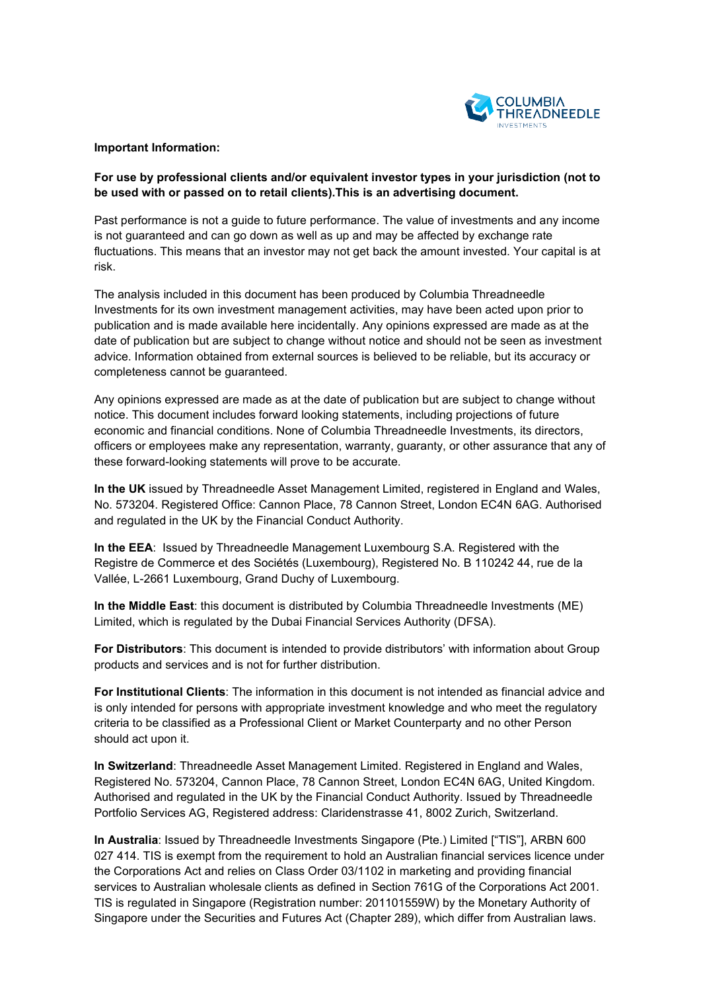

# **Important Information:**

# **For use by professional clients and/or equivalent investor types in your jurisdiction (not to be used with or passed on to retail clients).This is an advertising document.**

Past performance is not a guide to future performance. The value of investments and any income is not guaranteed and can go down as well as up and may be affected by exchange rate fluctuations. This means that an investor may not get back the amount invested. Your capital is at risk.

The analysis included in this document has been produced by Columbia Threadneedle Investments for its own investment management activities, may have been acted upon prior to publication and is made available here incidentally. Any opinions expressed are made as at the date of publication but are subject to change without notice and should not be seen as investment advice. Information obtained from external sources is believed to be reliable, but its accuracy or completeness cannot be guaranteed.

Any opinions expressed are made as at the date of publication but are subject to change without notice. This document includes forward looking statements, including projections of future economic and financial conditions. None of Columbia Threadneedle Investments, its directors, officers or employees make any representation, warranty, guaranty, or other assurance that any of these forward-looking statements will prove to be accurate.

**In the UK** issued by Threadneedle Asset Management Limited, registered in England and Wales, No. 573204. Registered Office: Cannon Place, 78 Cannon Street, London EC4N 6AG. Authorised and regulated in the UK by the Financial Conduct Authority.

**In the EEA**: Issued by Threadneedle Management Luxembourg S.A. Registered with the Registre de Commerce et des Sociétés (Luxembourg), Registered No. B 110242 44, rue de la Vallée, L-2661 Luxembourg, Grand Duchy of Luxembourg.

**In the Middle East**: this document is distributed by Columbia Threadneedle Investments (ME) Limited, which is regulated by the Dubai Financial Services Authority (DFSA).

**For Distributors**: This document is intended to provide distributors' with information about Group products and services and is not for further distribution.

**For Institutional Clients**: The information in this document is not intended as financial advice and is only intended for persons with appropriate investment knowledge and who meet the regulatory criteria to be classified as a Professional Client or Market Counterparty and no other Person should act upon it.

**In Switzerland**: Threadneedle Asset Management Limited. Registered in England and Wales, Registered No. 573204, Cannon Place, 78 Cannon Street, London EC4N 6AG, United Kingdom. Authorised and regulated in the UK by the Financial Conduct Authority. Issued by Threadneedle Portfolio Services AG, Registered address: Claridenstrasse 41, 8002 Zurich, Switzerland.

**In Australia**: Issued by Threadneedle Investments Singapore (Pte.) Limited ["TIS"], ARBN 600 027 414. TIS is exempt from the requirement to hold an Australian financial services licence under the Corporations Act and relies on Class Order 03/1102 in marketing and providing financial services to Australian wholesale clients as defined in Section 761G of the Corporations Act 2001. TIS is regulated in Singapore (Registration number: 201101559W) by the Monetary Authority of Singapore under the Securities and Futures Act (Chapter 289), which differ from Australian laws.